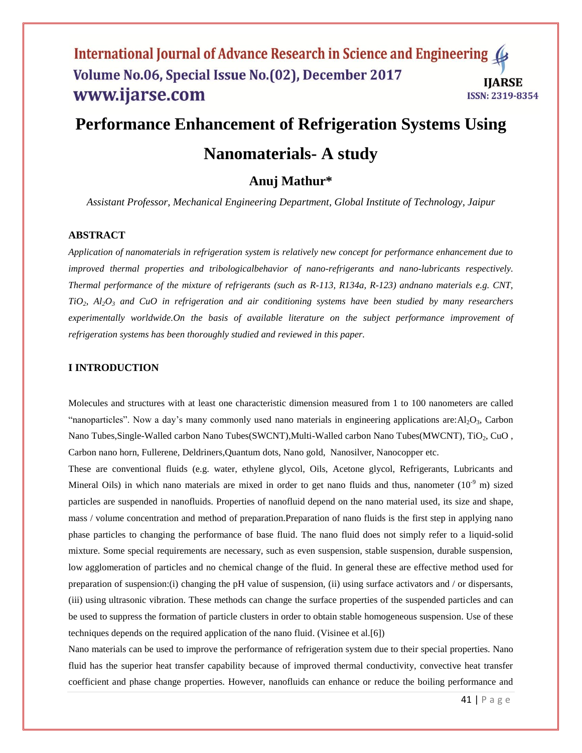# **Performance Enhancement of Refrigeration Systems Using**

# **Nanomaterials- A study**

## **Anuj Mathur\***

*Assistant Professor, Mechanical Engineering Department, Global Institute of Technology, Jaipur*

## **ABSTRACT**

*Application of nanomaterials in refrigeration system is relatively new concept for performance enhancement due to improved thermal properties and tribologicalbehavior of nano-refrigerants and nano-lubricants respectively. Thermal performance of the mixture of refrigerants (such as R-113, R134a, R-123) andnano materials e.g. CNT, TiO2, Al2O<sup>3</sup> and CuO in refrigeration and air conditioning systems have been studied by many researchers experimentally worldwide.On the basis of available literature on the subject performance improvement of refrigeration systems has been thoroughly studied and reviewed in this paper.*

## **I INTRODUCTION**

Molecules and structures with at least one characteristic dimension measured from 1 to 100 nanometers are called "nanoparticles". Now a day's many commonly used nano materials in engineering applications are: $Al_2O_3$ , Carbon Nano Tubes, Single-Walled carbon Nano Tubes(SWCNT), Multi-Walled carbon Nano Tubes(MWCNT), TiO<sub>2</sub>, CuO, Carbon nano horn, Fullerene, Deldriners,Quantum dots, Nano gold, Nanosilver, Nanocopper etc.

These are conventional fluids (e.g. water, ethylene glycol, Oils, Acetone glycol, Refrigerants, Lubricants and Mineral Oils) in which nano materials are mixed in order to get nano fluids and thus, nanometer  $(10^{-9}$  m) sized particles are suspended in nanofluids. Properties of nanofluid depend on the nano material used, its size and shape, mass / volume concentration and method of preparation.Preparation of nano fluids is the first step in applying nano phase particles to changing the performance of base fluid. The nano fluid does not simply refer to a liquid-solid mixture. Some special requirements are necessary, such as even suspension, stable suspension, durable suspension, low agglomeration of particles and no chemical change of the fluid. In general these are effective method used for preparation of suspension:(i) changing the pH value of suspension, (ii) using surface activators and / or dispersants, (iii) using ultrasonic vibration. These methods can change the surface properties of the suspended particles and can be used to suppress the formation of particle clusters in order to obtain stable homogeneous suspension. Use of these techniques depends on the required application of the nano fluid. (Visinee et al.[6])

Nano materials can be used to improve the performance of refrigeration system due to their special properties. Nano fluid has the superior heat transfer capability because of improved thermal conductivity, convective heat transfer coefficient and phase change properties. However, nanofluids can enhance or reduce the boiling performance and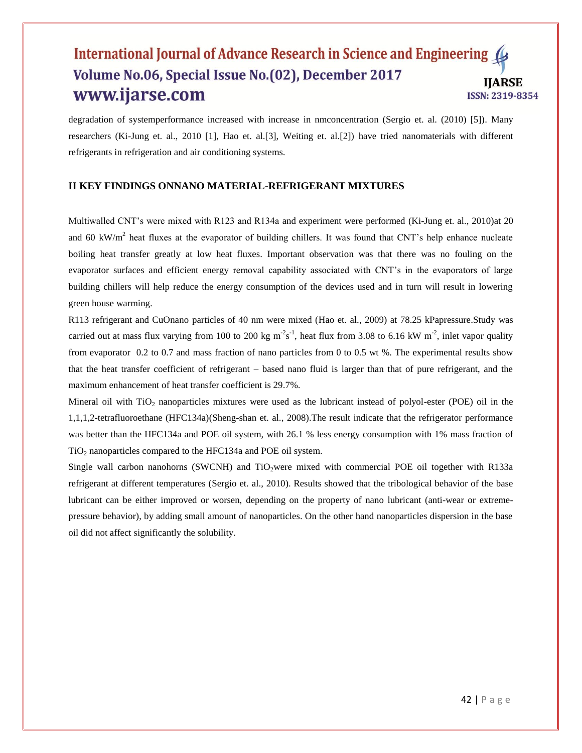degradation of systemperformance increased with increase in nmconcentration (Sergio et. al. (2010) [5]). Many researchers (Ki-Jung et. al., 2010 [1], Hao et. al.[3], Weiting et. al.[2]) have tried nanomaterials with different refrigerants in refrigeration and air conditioning systems.

## **II KEY FINDINGS ONNANO MATERIAL-REFRIGERANT MIXTURES**

Multiwalled CNT's were mixed with R123 and R134a and experiment were performed (Ki-Jung et. al., 2010)at 20 and 60 kW/m<sup>2</sup> heat fluxes at the evaporator of building chillers. It was found that CNT's help enhance nucleate boiling heat transfer greatly at low heat fluxes. Important observation was that there was no fouling on the evaporator surfaces and efficient energy removal capability associated with CNT's in the evaporators of large building chillers will help reduce the energy consumption of the devices used and in turn will result in lowering green house warming.

R113 refrigerant and CuOnano particles of 40 nm were mixed (Hao et. al., 2009) at 78.25 kPapressure.Study was carried out at mass flux varying from 100 to 200 kg  $m^2s^1$ , heat flux from 3.08 to 6.16 kW  $m^2$ , inlet vapor quality from evaporator 0.2 to 0.7 and mass fraction of nano particles from 0 to 0.5 wt %. The experimental results show that the heat transfer coefficient of refrigerant – based nano fluid is larger than that of pure refrigerant, and the maximum enhancement of heat transfer coefficient is 29.7%.

Mineral oil with  $TiO<sub>2</sub>$  nanoparticles mixtures were used as the lubricant instead of polyol-ester (POE) oil in the 1,1,1,2-tetrafluoroethane (HFC134a)(Sheng-shan et. al., 2008).The result indicate that the refrigerator performance was better than the HFC134a and POE oil system, with 26.1 % less energy consumption with 1% mass fraction of  $TiO<sub>2</sub>$  nanoparticles compared to the HFC134a and POE oil system.

Single wall carbon nanohorns (SWCNH) and  $TiO<sub>2</sub>$  were mixed with commercial POE oil together with R133a refrigerant at different temperatures (Sergio et. al., 2010). Results showed that the tribological behavior of the base lubricant can be either improved or worsen, depending on the property of nano lubricant (anti-wear or extremepressure behavior), by adding small amount of nanoparticles. On the other hand nanoparticles dispersion in the base oil did not affect significantly the solubility.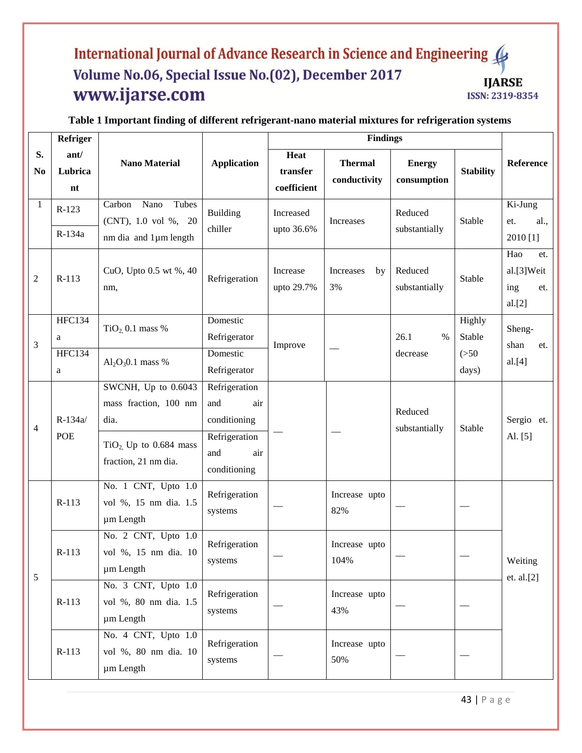| Refriger             |                                          |                                                                                                         |                                                                                            |                                 | <b>Findings</b>                |                                   |                                    |                                                  |  |
|----------------------|------------------------------------------|---------------------------------------------------------------------------------------------------------|--------------------------------------------------------------------------------------------|---------------------------------|--------------------------------|-----------------------------------|------------------------------------|--------------------------------------------------|--|
| S.<br>N <sub>0</sub> | ant/<br>Lubrica<br>nt                    | <b>Nano Material</b>                                                                                    | <b>Application</b>                                                                         | Heat<br>transfer<br>coefficient | <b>Thermal</b><br>conductivity | <b>Energy</b><br>consumption      | <b>Stability</b>                   | Reference                                        |  |
| $\mathbf{1}$         | $R-123$<br>R-134a                        | Nano<br>Tubes<br>Carbon<br>(CNT), 1.0 vol %, 20<br>nm dia and 1µm length                                | <b>Building</b><br>chiller                                                                 | Increased<br>upto 36.6%         | Increases                      | Reduced<br>substantially          | Stable                             | Ki-Jung<br>al.,<br>et.<br>2010 [1]               |  |
| $\overline{c}$       | $R-113$                                  | CuO, Upto 0.5 wt %, 40<br>nm,                                                                           | Refrigeration                                                                              | Increase<br>upto 29.7%          | Increases<br>by<br>3%          | Reduced<br>substantially          | Stable                             | Hao<br>et.<br>al.[3]Weit<br>ing<br>et.<br>al.[2] |  |
| 3                    | <b>HFC134</b><br>a<br><b>HFC134</b><br>a | $TiO2$ 0.1 mass %<br>$Al_2O_3O.1$ mass %                                                                | Domestic<br>Refrigerator<br>Domestic<br>Refrigerator                                       | Improve                         |                                | 26.1<br>$\frac{0}{0}$<br>decrease | Highly<br>Stable<br>(>50)<br>days) | Sheng-<br>shan<br>et.<br>al.[4]                  |  |
| 4                    | R-134a/<br><b>POE</b>                    | SWCNH, Up to 0.6043<br>mass fraction, 100 nm<br>dia.<br>$TiO2$ Up to 0.684 mass<br>fraction, 21 nm dia. | Refrigeration<br>air<br>and<br>conditioning<br>Refrigeration<br>and<br>air<br>conditioning |                                 |                                | Reduced<br>substantially          | Stable                             | Sergio et.<br>Al. [5]                            |  |
| $\mathfrak s$        | $R-113$                                  | No. 1 CNT, Upto 1.0<br>vol %, 15 nm dia. 1.5<br>um Length                                               | Refrigeration<br>systems                                                                   |                                 | Increase upto<br>82%           |                                   |                                    | Weiting<br>et. al.[2]                            |  |
|                      | $R-113$                                  | No. 2 CNT, Upto 1.0<br>vol %, 15 nm dia. 10<br>um Length                                                | Refrigeration<br>systems                                                                   |                                 | Increase upto<br>104%          |                                   |                                    |                                                  |  |
|                      | $R-113$                                  | No. 3 CNT, Upto 1.0<br>vol %, 80 nm dia. 1.5<br>um Length                                               | Refrigeration<br>systems                                                                   |                                 | Increase upto<br>43%           |                                   |                                    |                                                  |  |
|                      | $R-113$                                  | No. 4 CNT, Upto 1.0<br>vol %, 80 nm dia. 10<br>um Length                                                | Refrigeration<br>systems                                                                   |                                 | Increase upto<br>50%           |                                   |                                    |                                                  |  |

**Table 1 Important finding of different refrigerant-nano material mixtures for refrigeration systems**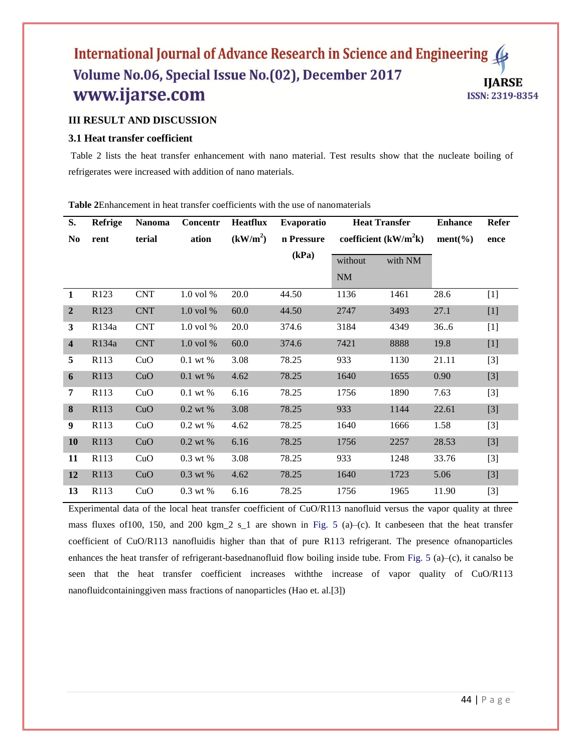## **III RESULT AND DISCUSSION**

### **3.1 Heat transfer coefficient**

Table 2 lists the heat transfer enhancement with nano material. Test results show that the nucleate boiling of refrigerates were increased with addition of nano materials.

**S. No Refrige rent Nanoma terial Concentr ation Heatflux**  $(kW/m<sup>2</sup>)$ **Evaporatio n Pressure (kPa) Heat Transfer coefficient (kW/m<sup>2</sup> k) Enhance ment(%) Refer ence** without NM with NM **1** R123 CNT 1.0 vol % 20.0 44.50 1136 1461 28.6 [1] **2** R123 CNT 1.0 vol % 60.0 44.50 2747 3493 27.1 [1] **3** R134a CNT 1.0 vol % 20.0 374.6 3184 4349 36..6 [1] **4** R134a CNT 1.0 vol % 60.0 374.6 7421 8888 19.8 [1] **5** R113 CuO 0.1 wt % 3.08 78.25 933 1130 21.11 [3] **6** R113 CuO 0.1 wt % 4.62 78.25 1640 1655 0.90 [3] **7** R113 CuO 0.1 wt % 6.16 78.25 1756 1890 7.63 [3] **8** R113 CuO 0.2 wt % 3.08 78.25 933 1144 22.61 [3] **9** R113 CuO 0.2 wt % 4.62 78.25 1640 1666 1.58 [3] **10** R113 CuO 0.2 wt % 6.16 78.25 1756 2257 28.53 [3] **11** R113 CuO 0.3 wt % 3.08 78.25 933 1248 33.76 [3] **12** R113 CuO 0.3 wt % 4.62 78.25 1640 1723 5.06 [3] **13** R113 CuO 0.3 wt % 6.16 78.25 1756 1965 11.90 [3]

**Table 2**Enhancement in heat transfer coefficients with the use of nanomaterials

Experimental data of the local heat transfer coefficient of CuO/R113 nanofluid versus the vapor quality at three mass fluxes of 100, 150, and 200 kgm 2 s 1 are shown in Fig. 5 (a)–(c). It canbeseen that the heat transfer coefficient of CuO/R113 nanofluidis higher than that of pure R113 refrigerant. The presence ofnanoparticles enhances the heat transfer of refrigerant-basednanofluid flow boiling inside tube. From Fig. 5 (a)–(c), it canalso be seen that the heat transfer coefficient increases withthe increase of vapor quality of CuO/R113 nanofluidcontaininggiven mass fractions of nanoparticles (Hao et. al.[3])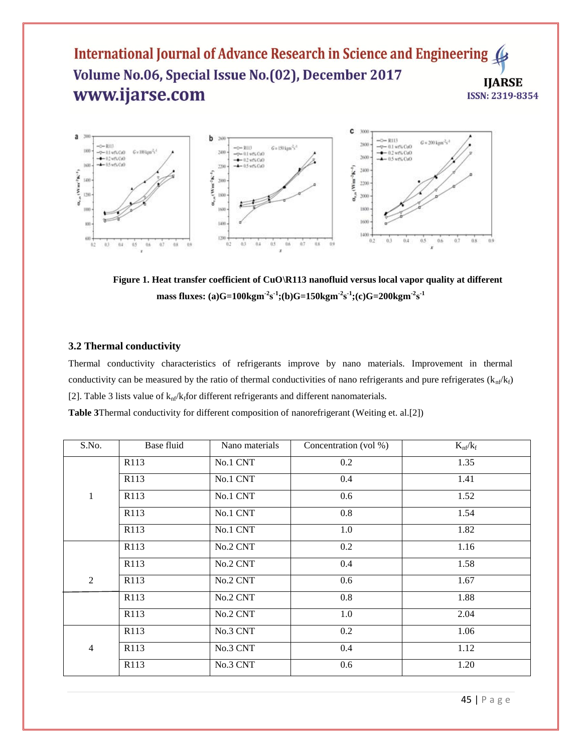

Figure 1. Heat transfer coefficient of CuO\R113 nanofluid versus local vapor quality at different **mass fluxes:** (a)G=100kgm<sup>-2</sup>s<sup>-1</sup>;(b)G=150kgm<sup>-2</sup>s<sup>-1</sup>;(c)G=200kgm<sup>-2</sup>s<sup>-1</sup>

#### **3.2 Thermal conductivity**

Thermal conductivity characteristics of refrigerants improve by nano materials. Improvement in thermal conductivity can be measured by the ratio of thermal conductivities of nano refrigerants and pure refrigerates  $(k<sub>n</sub>/k<sub>f</sub>)$ [2]. Table 3 lists value of  $k<sub>nf</sub>/k<sub>f</sub>$  for different refrigerants and different nanomaterials.

**Table 3**Thermal conductivity for different composition of nanorefrigerant (Weiting et. al.[2])

| S.No.          | Base fluid       | Nano materials | Concentration (vol %) | $K_{\rm nf}/k_{\rm f}$ |
|----------------|------------------|----------------|-----------------------|------------------------|
|                | R113             | No.1 CNT       | 0.2                   | 1.35                   |
|                | R113             | No.1 CNT       | 0.4                   | 1.41                   |
| $\mathbf{1}$   | R113             | No.1 CNT       | 0.6                   | 1.52                   |
|                | R <sub>113</sub> | No.1 CNT       | $0.8\,$               | 1.54                   |
|                | R113             | No.1 CNT       | 1.0                   | 1.82                   |
|                | R113             | No.2 CNT       | 0.2                   | 1.16                   |
|                | R113             | No.2 CNT       | 0.4                   | 1.58                   |
| $\overline{2}$ | R113             | No.2 CNT       | 0.6                   | 1.67                   |
|                | R113             | No.2 CNT       | 0.8                   | 1.88                   |
|                | R113             | No.2 CNT       | 1.0                   | 2.04                   |
|                | R113             | No.3 CNT       | 0.2                   | 1.06                   |
| $\overline{4}$ | R113             | No.3 CNT       | 0.4                   | 1.12                   |
|                | R113             | No.3 CNT       | 0.6                   | 1.20                   |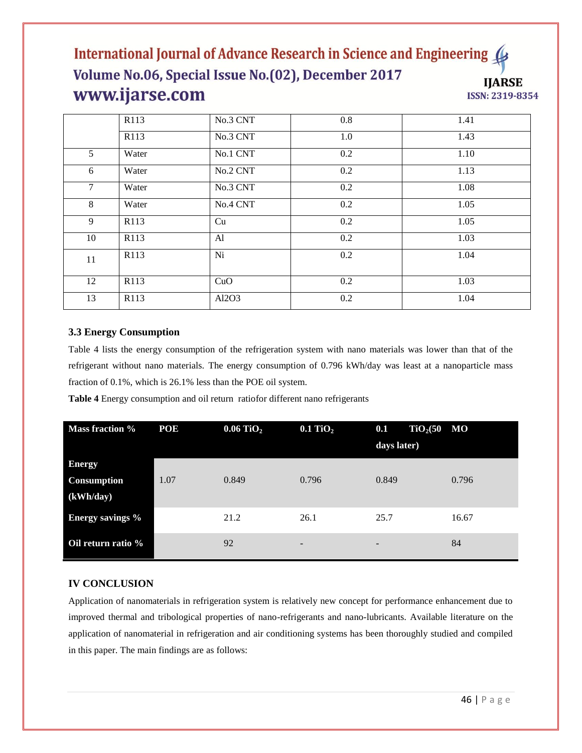|                | R113             | No.3 CNT | 0.8 | 1.41 |
|----------------|------------------|----------|-----|------|
|                | R113             | No.3 CNT | 1.0 | 1.43 |
| 5 <sup>5</sup> | Water            | No.1 CNT | 0.2 | 1.10 |
| 6              | Water            | No.2 CNT | 0.2 | 1.13 |
| $\tau$         | Water            | No.3 CNT | 0.2 | 1.08 |
| 8              | Water            | No.4 CNT | 0.2 | 1.05 |
| 9              | R113             | Cu       | 0.2 | 1.05 |
| 10             | R <sub>113</sub> | Al       | 0.2 | 1.03 |
| 11             | R113             | Ni       | 0.2 | 1.04 |
| 12             | R <sub>113</sub> | CuO      | 0.2 | 1.03 |
| 13             | R113             | Al2O3    | 0.2 | 1.04 |

## **3.3 Energy Consumption**

Table 4 lists the energy consumption of the refrigeration system with nano materials was lower than that of the refrigerant without nano materials. The energy consumption of 0.796 kWh/day was least at a nanoparticle mass fraction of 0.1%, which is 26.1% less than the POE oil system.

**Table 4** Energy consumption and oil return ratiofor different nano refrigerants

| <b>Mass fraction %</b>  | POE  | $0.06$ TiO <sub>2</sub> | $0.1$ TiO <sub>2</sub> | TiO <sub>2</sub> (50 MO)<br>0.1<br>days later) |       |
|-------------------------|------|-------------------------|------------------------|------------------------------------------------|-------|
| <b>Energy</b>           |      |                         |                        |                                                |       |
| <b>Consumption</b>      | 1.07 | 0.849                   | 0.796                  | 0.849                                          | 0.796 |
| (kWh/day)               |      |                         |                        |                                                |       |
| <b>Energy savings %</b> |      | 21.2                    | 26.1                   | 25.7                                           | 16.67 |
| Oil return ratio %      |      | 92                      | -                      | $\overline{\phantom{a}}$                       | 84    |

## **IV CONCLUSION**

Application of nanomaterials in refrigeration system is relatively new concept for performance enhancement due to improved thermal and tribological properties of nano-refrigerants and nano-lubricants. Available literature on the application of nanomaterial in refrigeration and air conditioning systems has been thoroughly studied and compiled in this paper. The main findings are as follows: